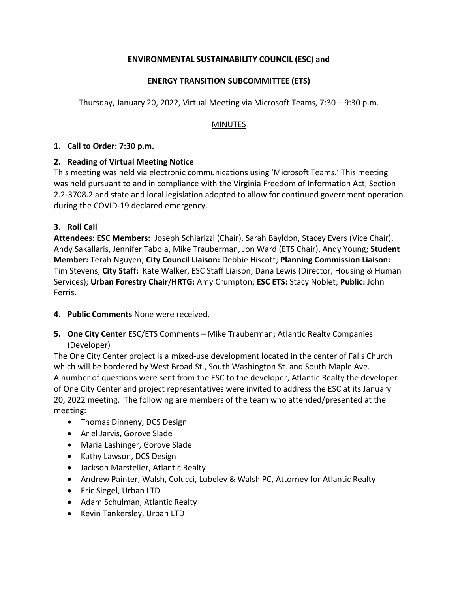## **ENVIRONMENTAL SUSTAINABILITY COUNCIL (ESC) and**

## **ENERGY TRANSITION SUBCOMMITTEE (ETS)**

Thursday, January 20, 2022, Virtual Meeting via Microsoft Teams, 7:30 – 9:30 p.m.

#### MINUTES

#### **1. Call to Order: 7:30 p.m.**

### **2. Reading of Virtual Meeting Notice**

This meeting was held via electronic communications using 'Microsoft Teams.' This meeting was held pursuant to and in compliance with the Virginia Freedom of Information Act, Section 2.2-3708.2 and state and local legislation adopted to allow for continued government operation during the COVID-19 declared emergency.

#### **3. Roll Call**

**Attendees: ESC Members:** Joseph Schiarizzi (Chair), Sarah Bayldon, Stacey Evers (Vice Chair), Andy Sakallaris, Jennifer Tabola, Mike Trauberman, Jon Ward (ETS Chair), Andy Young; **Student Member:** Terah Nguyen; **City Council Liaison:** Debbie Hiscott; **Planning Commission Liaison:** Tim Stevens; **City Staff:** Kate Walker, ESC Staff Liaison, Dana Lewis (Director, Housing & Human Services); **Urban Forestry Chair**/**HRTG:** Amy Crumpton; **ESC ETS:** Stacy Noblet; **Public:** John Ferris.

### **4. Public Comments** None were received.

**5. One City Center** ESC/ETS Comments – Mike Trauberman; Atlantic Realty Companies (Developer)

The One City Center project is a mixed-use development located in the center of Falls Church which will be bordered by West Broad St., South Washington St. and South Maple Ave. A number of questions were sent from the ESC to the developer, Atlantic Realty the developer of One City Center and project representatives were invited to address the ESC at its January 20, 2022 meeting. The following are members of the team who attended/presented at the meeting:

- Thomas Dinneny, DCS Design
- Ariel Jarvis, Gorove Slade
- Maria Lashinger, Gorove Slade
- Kathy Lawson, DCS Design
- Jackson Marsteller, Atlantic Realty
- Andrew Painter, Walsh, Colucci, Lubeley & Walsh PC, Attorney for Atlantic Realty
- Eric Siegel, Urban LTD
- Adam Schulman, Atlantic Realty
- Kevin Tankersley, Urban LTD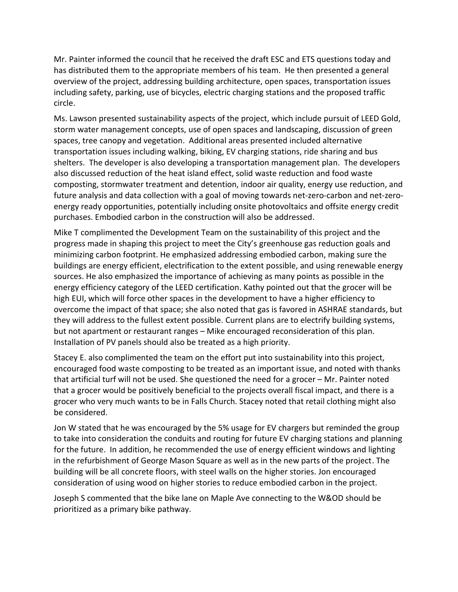Mr. Painter informed the council that he received the draft ESC and ETS questions today and has distributed them to the appropriate members of his team. He then presented a general overview of the project, addressing building architecture, open spaces, transportation issues including safety, parking, use of bicycles, electric charging stations and the proposed traffic circle.

Ms. Lawson presented sustainability aspects of the project, which include pursuit of LEED Gold, storm water management concepts, use of open spaces and landscaping, discussion of green spaces, tree canopy and vegetation. Additional areas presented included alternative transportation issues including walking, biking, EV charging stations, ride sharing and bus shelters. The developer is also developing a transportation management plan. The developers also discussed reduction of the heat island effect, solid waste reduction and food waste composting, stormwater treatment and detention, indoor air quality, energy use reduction, and future analysis and data collection with a goal of moving towards net-zero-carbon and net-zeroenergy ready opportunities, potentially including onsite photovoltaics and offsite energy credit purchases. Embodied carbon in the construction will also be addressed.

Mike T complimented the Development Team on the sustainability of this project and the progress made in shaping this project to meet the City's greenhouse gas reduction goals and minimizing carbon footprint. He emphasized addressing embodied carbon, making sure the buildings are energy efficient, electrification to the extent possible, and using renewable energy sources. He also emphasized the importance of achieving as many points as possible in the energy efficiency category of the LEED certification. Kathy pointed out that the grocer will be high EUI, which will force other spaces in the development to have a higher efficiency to overcome the impact of that space; she also noted that gas is favored in ASHRAE standards, but they will address to the fullest extent possible. Current plans are to electrify building systems, but not apartment or restaurant ranges – Mike encouraged reconsideration of this plan. Installation of PV panels should also be treated as a high priority.

Stacey E. also complimented the team on the effort put into sustainability into this project, encouraged food waste composting to be treated as an important issue, and noted with thanks that artificial turf will not be used. She questioned the need for a grocer – Mr. Painter noted that a grocer would be positively beneficial to the projects overall fiscal impact, and there is a grocer who very much wants to be in Falls Church. Stacey noted that retail clothing might also be considered.

Jon W stated that he was encouraged by the 5% usage for EV chargers but reminded the group to take into consideration the conduits and routing for future EV charging stations and planning for the future. In addition, he recommended the use of energy efficient windows and lighting in the refurbishment of George Mason Square as well as in the new parts of the project. The building will be all concrete floors, with steel walls on the higher stories. Jon encouraged consideration of using wood on higher stories to reduce embodied carbon in the project.

Joseph S commented that the bike lane on Maple Ave connecting to the W&OD should be prioritized as a primary bike pathway.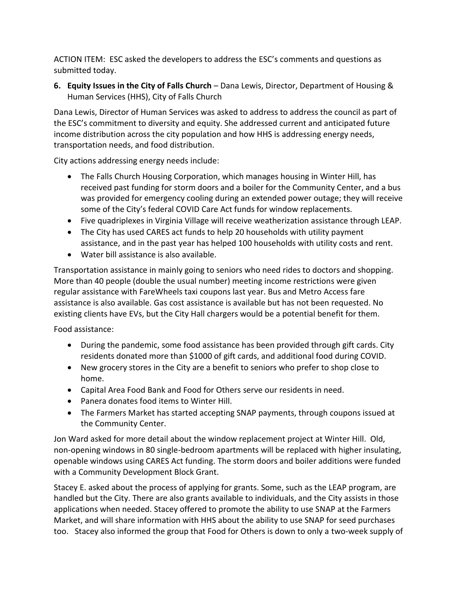ACTION ITEM: ESC asked the developers to address the ESC's comments and questions as submitted today.

**6. Equity Issues in the City of Falls Church** – Dana Lewis, Director, Department of Housing & Human Services (HHS), City of Falls Church

Dana Lewis, Director of Human Services was asked to address to address the council as part of the ESC's commitment to diversity and equity. She addressed current and anticipated future income distribution across the city population and how HHS is addressing energy needs, transportation needs, and food distribution.

City actions addressing energy needs include:

- The Falls Church Housing Corporation, which manages housing in Winter Hill, has received past funding for storm doors and a boiler for the Community Center, and a bus was provided for emergency cooling during an extended power outage; they will receive some of the City's federal COVID Care Act funds for window replacements.
- Five quadriplexes in Virginia Village will receive weatherization assistance through LEAP.
- The City has used CARES act funds to help 20 households with utility payment assistance, and in the past year has helped 100 households with utility costs and rent.
- Water bill assistance is also available.

Transportation assistance in mainly going to seniors who need rides to doctors and shopping. More than 40 people (double the usual number) meeting income restrictions were given regular assistance with FareWheels taxi coupons last year. Bus and Metro Access fare assistance is also available. Gas cost assistance is available but has not been requested. No existing clients have EVs, but the City Hall chargers would be a potential benefit for them.

Food assistance:

- During the pandemic, some food assistance has been provided through gift cards. City residents donated more than \$1000 of gift cards, and additional food during COVID.
- New grocery stores in the City are a benefit to seniors who prefer to shop close to home.
- Capital Area Food Bank and Food for Others serve our residents in need.
- Panera donates food items to Winter Hill.
- The Farmers Market has started accepting SNAP payments, through coupons issued at the Community Center.

Jon Ward asked for more detail about the window replacement project at Winter Hill. Old, non-opening windows in 80 single-bedroom apartments will be replaced with higher insulating, openable windows using CARES Act funding. The storm doors and boiler additions were funded with a Community Development Block Grant.

Stacey E. asked about the process of applying for grants. Some, such as the LEAP program, are handled but the City. There are also grants available to individuals, and the City assists in those applications when needed. Stacey offered to promote the ability to use SNAP at the Farmers Market, and will share information with HHS about the ability to use SNAP for seed purchases too. Stacey also informed the group that Food for Others is down to only a two-week supply of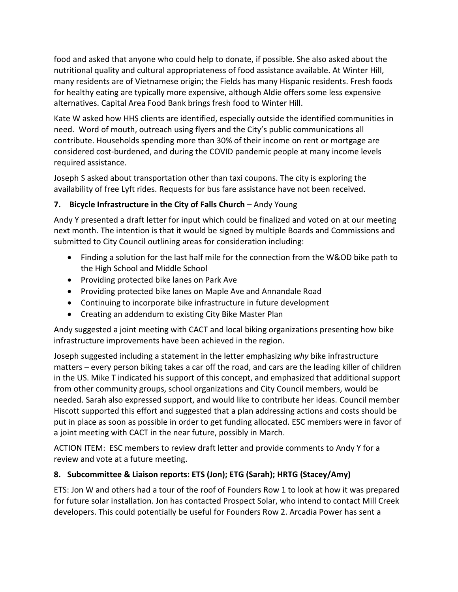food and asked that anyone who could help to donate, if possible. She also asked about the nutritional quality and cultural appropriateness of food assistance available. At Winter Hill, many residents are of Vietnamese origin; the Fields has many Hispanic residents. Fresh foods for healthy eating are typically more expensive, although Aldie offers some less expensive alternatives. Capital Area Food Bank brings fresh food to Winter Hill.

Kate W asked how HHS clients are identified, especially outside the identified communities in need. Word of mouth, outreach using flyers and the City's public communications all contribute. Households spending more than 30% of their income on rent or mortgage are considered cost-burdened, and during the COVID pandemic people at many income levels required assistance.

Joseph S asked about transportation other than taxi coupons. The city is exploring the availability of free Lyft rides. Requests for bus fare assistance have not been received.

# **7. Bicycle Infrastructure in the City of Falls Church** – Andy Young

Andy Y presented a draft letter for input which could be finalized and voted on at our meeting next month. The intention is that it would be signed by multiple Boards and Commissions and submitted to City Council outlining areas for consideration including:

- Finding a solution for the last half mile for the connection from the W&OD bike path to the High School and Middle School
- Providing protected bike lanes on Park Ave
- Providing protected bike lanes on Maple Ave and Annandale Road
- Continuing to incorporate bike infrastructure in future development
- Creating an addendum to existing City Bike Master Plan

Andy suggested a joint meeting with CACT and local biking organizations presenting how bike infrastructure improvements have been achieved in the region.

Joseph suggested including a statement in the letter emphasizing *why* bike infrastructure matters – every person biking takes a car off the road, and cars are the leading killer of children in the US. Mike T indicated his support of this concept, and emphasized that additional support from other community groups, school organizations and City Council members, would be needed. Sarah also expressed support, and would like to contribute her ideas. Council member Hiscott supported this effort and suggested that a plan addressing actions and costs should be put in place as soon as possible in order to get funding allocated. ESC members were in favor of a joint meeting with CACT in the near future, possibly in March.

ACTION ITEM: ESC members to review draft letter and provide comments to Andy Y for a review and vote at a future meeting.

# **8. Subcommittee & Liaison reports: ETS (Jon); ETG (Sarah); HRTG (Stacey/Amy)**

ETS: Jon W and others had a tour of the roof of Founders Row 1 to look at how it was prepared for future solar installation. Jon has contacted Prospect Solar, who intend to contact Mill Creek developers. This could potentially be useful for Founders Row 2. Arcadia Power has sent a